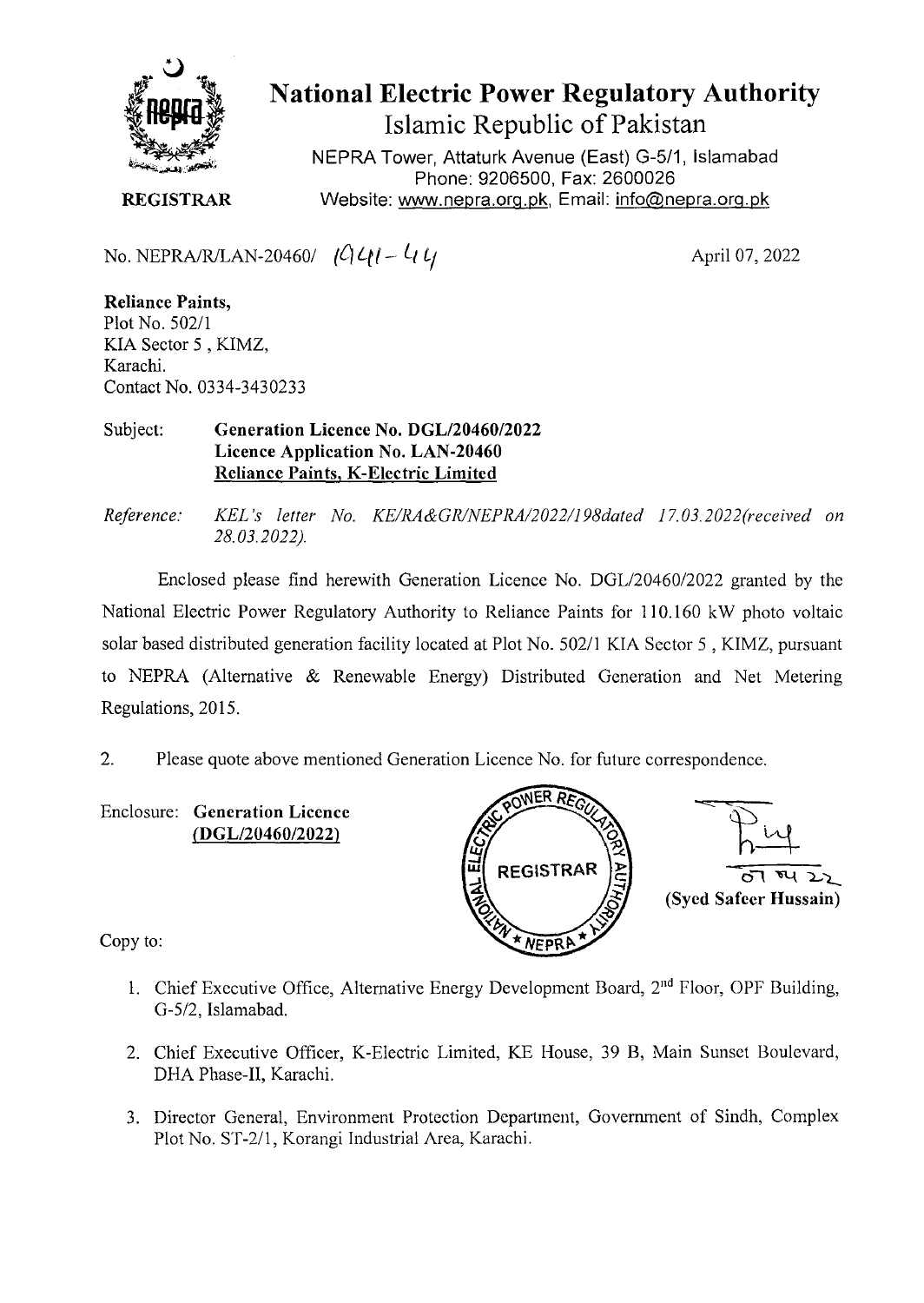

**National Electric Power Regulatory Authority Islamic Republic of Pakistan** 

NEPRA Tower, Attaturk Avenue (East) G-5/1, Islamabad Phone: 9206500, Fax: 2600026 **REGISTRAR** Website: www.nepra.org.pk, Email: info@nepra.org.pk

No. NEPRA/R/LAN-20460/  $\left( \mathcal{C} \right) \mathcal{L} \left( l - \mathcal{L} \right)$ 

April 07, 2022

**Reliance Paints,**  Plot No. 502/1 KIA Sector 5 , KIMZ, Karachi. Contact No. 0334-3430233

## Subject: **Generation Licence No.** *DGL12046012022*  **Licence Application No. LAN-20460 Reliance Paints, K-Electric Limited**

*Reference. KEL 's letter No. KE/1L4&GR/NEPRA/2022/198dated 17. 03.2022(received on 28.03.2022).* 

Enclosed please find herewith Generation Licence No. DGL/20460/2022 granted by the National Electric Power Regulatory Authority to Reliance Paints for 110.160 kW photo voltaic solar based distributed generation facility located at Plot No. 502/1 KIA Sector 5, KIMZ, pursuant to NEPRA (Alternative & Renewable Energy) Distributed Generation and Net Metering Regulations, 2015.

2. Please quote above mentioned Generation Licence No. for future correspondence.

Enclosure: **Generation Licence (DGL/20460/2022)** 



Copy to:

- 1. Chief Executive Office, Alternative Energy Development Board,  $2<sup>nd</sup>$  Floor, OPF Building, G-5/2, Islamabad.
- 2. Chief Executive Officer, K-Electric Limited, KE House, 39 B, Main Sunset Boulevard, DHA Phase-II, Karachi.
- 3. Director General, Environment Protection Department, Government of Sindh, Complex Plot No. ST-2/1, Korangi Industrial Area, Karachi.